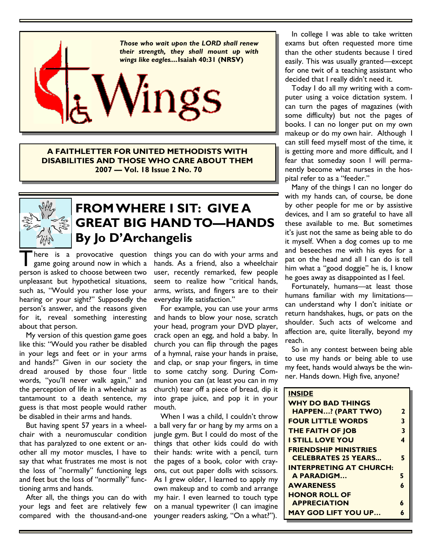

**A FAITHLETTER FOR UNITED METHODISTS WITH DISABILITIES AND THOSE WHO CARE ABOUT THEM 2007 — Vol. 18 Issue 2 No. 70**



## **FROM WHERE I SIT: GIVE A GREAT BIG HAND TO—HANDS By Jo D'Archangelis**

There is a provocative question<br>game going around now in which a<br>person is asked to choose between two is a provocative question game going around now in which a unpleasant but hypothetical situations, such as, "Would you rather lose your hearing or your sight?" Supposedly the person's answer, and the reasons given for it, reveal something interesting about that person.

My version of this question game goes like this: "Would you rather be disabled in your legs and feet or in your arms and hands?" Given in our society the dread aroused by those four little words, "you'll never walk again," and the perception of life in a wheelchair as tantamount to a death sentence, my guess is that most people would rather be disabled in their arms and hands.

But having spent 57 years in a wheelchair with a neuromuscular condition that has paralyzed to one extent or another all my motor muscles, I have to say that what frustrates me most is not the loss of "normally" functioning legs and feet but the loss of "normally" functioning arms and hands.

After all, the things you can do with your legs and feet are relatively few compared with the thousand-and-one things you can do with your arms and hands. As a friend, also a wheelchair user, recently remarked, few people seem to realize how "critical hands, arms, wrists, and fingers are to their everyday life satisfaction."

For example, you can use your arms and hands to blow your nose, scratch your head, program your DVD player, crack open an egg, and hold a baby. In church you can flip through the pages of a hymnal, raise your hands in praise, and clap, or snap your fingers, in time to some catchy song. During Communion you can (at least you can in my church) tear off a piece of bread, dip it into grape juice, and pop it in your mouth.

When I was a child, I couldn't throw a ball very far or hang by my arms on a jungle gym. But I could do most of the things that other kids could do with their hands: write with a pencil, turn the pages of a book, color with crayons, cut out paper dolls with scissors. As I grew older, I learned to apply my own makeup and to comb and arrange my hair. I even learned to touch type on a manual typewriter (I can imagine younger readers asking, "On a what?").

In college I was able to take written exams but often requested more time than the other students because I tired easily. This was usually granted—except for one twit of a teaching assistant who decided that I really didn't need it.

Today I do all my writing with a computer using a voice dictation system. I can turn the pages of magazines (with some difficulty) but not the pages of books. I can no longer put on my own makeup or do my own hair. Although I can still feed myself most of the time, it is getting more and more difficult, and I fear that someday soon I will permanently become what nurses in the hospital refer to as a "feeder."

Many of the things I can no longer do with my hands can, of course, be done by other people for me or by assistive devices, and I am so grateful to have all these available to me. But sometimes it's just not the same as being able to do it myself. When a dog comes up to me and beseeches me with his eyes for a pat on the head and all I can do is tell him what a "good doggie" he is, I know he goes away as disappointed as I feel.

Fortunately, humans—at least those humans familiar with my limitations can understand why I don't initiate or return handshakes, hugs, or pats on the shoulder. Such acts of welcome and affection are, quite literally, beyond my reach.

So in any contest between being able to use my hands or being able to use my feet, hands would always be the winner. Hands down. High five, anyone?

| <b>INSIDE</b>                  |   |
|--------------------------------|---|
| <b>WHY DO BAD THINGS</b>       |   |
| <b>HAPPEN? (PART TWO)</b>      | 2 |
| <b>FOUR LITTLE WORDS</b>       | 3 |
| <b>THE FAITH OF JOB</b>        | 3 |
| <b>I STILL LOVE YOU</b>        | 4 |
| <b>FRIENDSHIP MINISTRIES</b>   |   |
| <b>CELEBRATES 25 YEARS</b>     | 5 |
| <b>INTERPRETING AT CHURCH:</b> |   |
| A PARADIGM                     | 5 |
| <b>AWARENESS</b>               | 6 |
| <b>HONOR ROLL OF</b>           |   |
| <b>APPRECIATION</b>            | 4 |
| <b>MAY GOD LIFT YOU UP</b>     | 6 |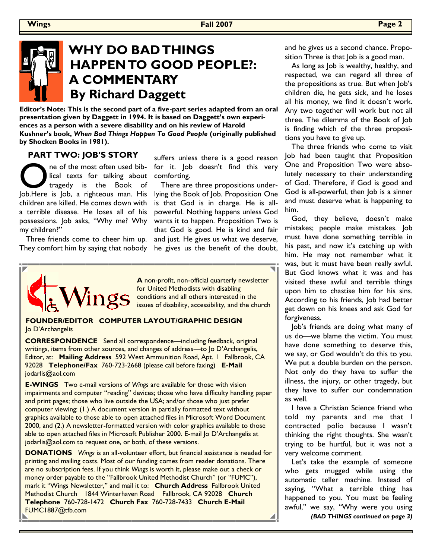## **WHY DO BAD THINGS HAPPEN TO GOOD PEOPLE?: A COMMENTARY By Richard Daggett**

**Editor's Note: This is the second part of a five-part series adapted from an oral presentation given by Daggett in 1994. It is based on Daggett's own experiences as a person with a severe disability and on his review of Harold Kushner's book,** *When Bad Things Happen To Good People* **(originally published by Shocken Books in 1981).** 

### **PART TWO: JOB'S STORY**

The of the most often used bib-<br>
Lical texts for talking about<br>
Job.Here is Job, a righteous man. His ne of the most often used biblical texts for talking about tragedy is the Book of children are killed. He comes down with a terrible disease. He loses all of his possessions. Job asks, "Why me? Why my children?"

Three friends come to cheer him up. They comfort him by saying that nobody suffers unless there is a good reason for it. Job doesn't find this very comforting.

There are three propositions underlying the Book of Job. Proposition One is that God is in charge. He is allpowerful. Nothing happens unless God wants it to happen. Proposition Two is that God is good. He is kind and fair and just. He gives us what we deserve, he gives us the benefit of the doubt,



**A** non-profit, non-official quarterly newsletter for United Methodists with disabling conditions and all others interested in the issues of disability, accessibility, and the church

### **FOUNDER/EDITOR COMPUTER LAYOUT/GRAPHIC DESIGN**  Jo D'Archangelis

**CORRESPONDENCE** Send all correspondence—including feedback, original writings, items from other sources, and changes of address—to Jo D'Archangelis, Editor, at: **Mailing Address** 592 West Ammunition Road, Apt. 1 Fallbrook, CA 92028 **Telephone/Fax** 760-723-2668 (please call before faxing) **E-Mail**  jodarlis@aol.com

**E-WINGS** Two e-mail versions of *Wings* are available for those with vision impairments and computer "reading" devices; those who have difficulty handling paper and print pages; those who live outside the USA; and/or those who just prefer computer viewing: (1.) A document version in partially formatted text without graphics available to those able to open attached files in Microsoft Word Document 2000, and (2.) A newsletter-formatted version with color graphics available to those able to open attached files in Microsoft Publisher 2000. E-mail Jo D'Archangelis at jodarlis@aol.com to request one, or both, of these versions.

**DONATIONS** *Wings* is an all-volunteer effort, but financial assistance is needed for printing and mailing costs. Most of our funding comes from reader donations. There are no subscription fees. If you think *Wings* is worth it, please make out a check or money order payable to the "Fallbrook United Methodist Church" (or "FUMC"), mark it "Wings Newsletter," and mail it to: **Church Address** Fallbrook United Methodist Church 1844 Winterhaven Road Fallbrook, CA 92028 **Church Telephone** 760-728-1472 **Church Fax** 760-728-7433 **Church E-Mail**  FUMC1887@tfb.com

and he gives us a second chance. Proposition Three is that Job is a good man.

As long as Job is wealthy, healthy, and respected, we can regard all three of the propositions as true. But when Job's children die, he gets sick, and he loses all his money, we find it doesn't work. Any two together will work but not all three. The dilemma of the Book of Job is finding which of the three propositions you have to give up.

The three friends who come to visit Job had been taught that Proposition One and Proposition Two were absolutely necessary to their understanding of God. Therefore, if God is good and God is all-powerful, then Job is a sinner and must deserve what is happening to him.

God, they believe, doesn't make mistakes; people make mistakes. Job must have done something terrible in his past, and now it's catching up with him. He may not remember what it was, but it must have been really awful. But God knows what it was and has visited these awful and terrible things upon him to chastise him for his sins. According to his friends, Job had better get down on his knees and ask God for forgiveness.

Job's friends are doing what many of us do—we blame the victim. You must have done something to deserve this, we say, or God wouldn't do this to you. We put a double burden on the person. Not only do they have to suffer the illness, the injury, or other tragedy, but they have to suffer our condemnation as well.

I have a Christian Science friend who told my parents and me that I contracted polio because I wasn't thinking the right thoughts. She wasn't trying to be hurtful, but it was not a very welcome comment.

Let's take the example of someone who gets mugged while using the automatic teller machine. Instead of saying, "What a terrible thing has happened to you. You must be feeling awful," we say, "Why were you using

*(BAD THINGS continued on page 3)*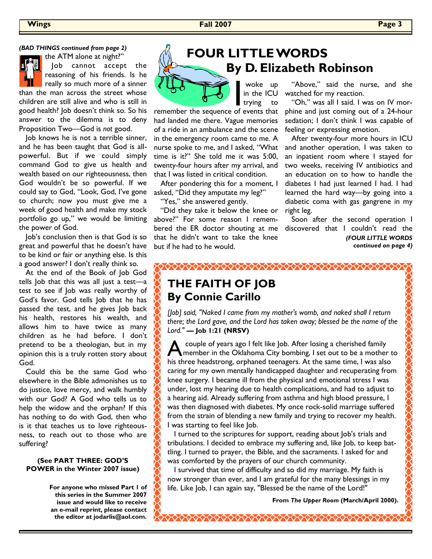### *(BAD THINGS continued from page 2)*



the ATM alone at night?" Job cannot accept the

reasoning of his friends. Is he really so much more of a sinner than the man across the street whose children are still alive and who is still in good health? Job doesn't think so. So his answer to the dilemma is to deny Proposition Two—God is *not* good.

Job knows he is not a terrible sinner, and he has been taught that God is allpowerful. But if we could simply command God to give us health and wealth based on our righteousness, then God wouldn't be so powerful. If we could say to God, "Look, God, I've gone to church; now you must give me a week of good health and make my stock portfolio go up," we would be limiting the power of God.

Job's conclusion then is that God is so great and powerful that he doesn't have to be kind or fair or anything else. Is this a good answer? I don't really think so.

At the end of the Book of Job God tells Job that this was all just a test—a test to see if Job was really worthy of God's favor. God tells Job that he has passed the test, and he gives Job back his health, restores his wealth, and allows him to have twice as many children as he had before. I don't pretend to be a theologian, but in my opinion this is a truly rotten story about God.

Could this be the same God who elsewhere in the Bible admonishes us to do justice, love mercy, and walk humbly with our God? A God who tells us to help the widow and the orphan? If this has nothing to do with God, then who is it that teaches us to love righteousness, to reach out to those who are suffering?

#### **(See PART THREE: GOD'S POWER in the Winter 2007 issue)**

**For anyone who missed Part 1 of this series in the Summer 2007 issue and would like to receive an e-mail reprint, please contact the editor at jodarlis@aol.com.**

# **FOUR LITTLE WORDS By D. Elizabeth Robinson**

woke up

TURN woke up<br>in the ICU<br>remember the sequence of events that in the ICU trying had landed me there. Vague memories of a ride in an ambulance and the scene in the emergency room came to me. A nurse spoke to me, and I asked, "What

twenty-four hours after my arrival, and that I was listed in critical condition. After pondering this for a moment, I asked, "Did they amputate my leg?"

time is it?" She told me it was 5:00,

"Yes," she answered gently.

"Did they take it below the knee or above?" For some reason I remembered the ER doctor shouting at me that he didn't want to take the knee but if he had to he would.

 "Above," said the nurse, and she watched for my reaction.

 "Oh," was all I said. I was on IV morphine and just coming out of a 24-hour sedation; I don't think I was capable of feeling or expressing emotion.

 After twenty-four more hours in ICU and another operation, I was taken to an inpatient room where I stayed for two weeks, receiving IV antibiotics and an education on to how to handle the diabetes I had just learned I had. I had learned the hard way—by going into a diabetic coma with gas gangrene in my right leg.

 Soon after the second operation I discovered that I couldn't read the *(FOUR LITTLE WORDS continued on page 4)*

### **THE FAITH OF JOB By Connie Carillo**

*[Job] said, "Naked I came from my mother's womb, and naked shall I return there; the Lord gave, and the Lord has taken away; blessed be the name of the Lord."* **— Job 1:21 (NRSV)**

A couple of years ago I felt like Job. After losing a cherished family<br>member in the Oklahoma City bombing, I set out to be a mother to couple of years ago I felt like Job. After losing a cherished family his three headstrong, orphaned teenagers. At the same time, I was also caring for my own mentally handicapped daughter and recuperating from knee surgery. I became ill from the physical and emotional stress I was under, lost my hearing due to health complications, and had to adjust to a hearing aid. Already suffering from asthma and high blood pressure, I was then diagnosed with diabetes. My once rock-solid marriage suffered from the strain of blending a new family and trying to recover my health. I was starting to feel like Job.

I turned to the scriptures for support, reading about Job's trials and tribulations. I decided to embrace my suffering and, like Job, to keep battling. I turned to prayer, the Bible, and the sacraments. I asked for and was comforted by the prayers of our church community.

I survived that time of difficulty and so did my marriage. My faith is now stronger than ever, and I am grateful for the many blessings in my life. Like Job, I can again say, "Blessed be the name of the Lord!"

**From** *The Upper Room* **(March/April 2000).**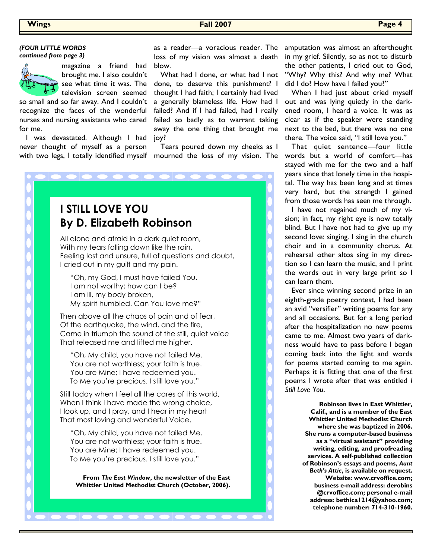### **Wings Fall 2007 Page 4**

#### *(FOUR LITTLE WORDS continued from page 3)*



magazine a friend had brought me. I also couldn't see what time it was. The television screen seemed

so small and so far away. And I couldn't recognize the faces of the wonderful nurses and nursing assistants who cared for me.

I was devastated. Although I had never thought of myself as a person with two legs, I totally identified myself mourned the loss of my vision. The

as a reader—a voracious reader. The loss of my vision was almost a death blow.

 What had I done, or what had I not done, to deserve this punishment? I thought I had faith; I certainly had lived a generally blameless life. How had I failed? And if I had failed, had I really failed so badly as to warrant taking away the one thing that brought me joy?

Tears poured down my cheeks as I



"Oh, My child, you have not failed Me. You are not worthless; your faith is true. You are Mine; I have redeemed you. To Me you're precious. I still love you."

**From** *The East Window***, the newsletter of the East Whittier United Methodist Church (October, 2006).**

. . . . . . . . .

amputation was almost an afterthought in my grief. Silently, so as not to disturb the other patients, I cried out to God, "Why? Why this? And why me? What did I do? How have I failed you?"

When I had just about cried myself out and was lying quietly in the darkened room, I heard a voice. It was as clear as if the speaker were standing next to the bed, but there was no one there. The voice said, "I still love you."

That quiet sentence—four little words but a world of comfort—has stayed with me for the two and a half years since that lonely time in the hospital. The way has been long and at times very hard, but the strength I gained from those words has seen me through.

I have not regained much of my vision; in fact, my right eye is now totally blind. But I have not had to give up my second love: singing. I sing in the church choir and in a community chorus. At rehearsal other altos sing in my direction so I can learn the music, and I print the words out in very large print so I can learn them.

Ever since winning second prize in an eighth-grade poetry contest, I had been an avid "versifier" writing poems for any and all occasions. But for a long period after the hospitalization no new poems came to me. Almost two years of darkness would have to pass before I began coming back into the light and words for poems started coming to me again. Perhaps it is fitting that one of the first poems I wrote after that was entitled *I Still Love You*.

> **Robinson lives in East Whittier, Calif., and is a member of the East Whittier United Methodist Church where she was baptized in 2006. She runs a computer-based business as a "virtual assistant" providing writing, editing, and proofreading services. A self-published collection of Robinson's essays and poems,** *Aunt Beth's Attic***, is available on request. Website: www.crvoffice.com; business e-mail address: derobins @crvoffice.com; personal e-mail address: bethica1214@yahoo.com; telephone number: 714-310-1960.**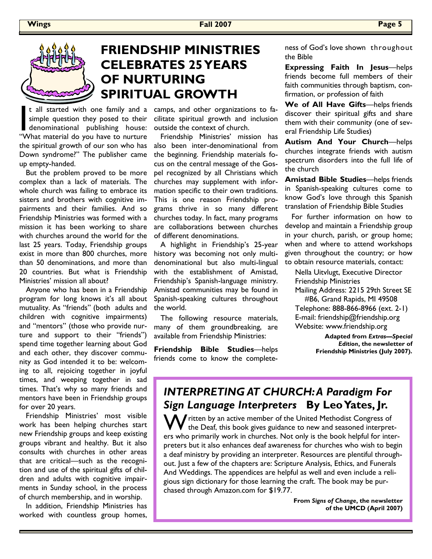

## **FRIENDSHIP MINISTRIES CELEBRATES 25 YEARS OF NURTURING SPIRITUAL GROWTH**

t all started with one family and a<br>simple question they posed to their<br>denominational publishing house:<br>"What material do you have to nurture simple question they posed to their denominational publishing house: the spiritual growth of our son who has Down syndrome?" The publisher came up empty-handed.

 But the problem proved to be more complex than a lack of materials. The whole church was failing to embrace its sisters and brothers with cognitive impairments and their families. And so Friendship Ministries was formed with a mission it has been working to share with churches around the world for the last 25 years. Today, Friendship groups exist in more than 800 churches, more than 50 denominations, and more than 20 countries. But what is Friendship Ministries' mission all about?

Anyone who has been in a Friendship program for long knows it's all about mutuality. As "friends" (both adults and children with cognitive impairments) and "mentors" (those who provide nurture and support to their "friends") spend time together learning about God and each other, they discover community as God intended it to be: welcoming to all, rejoicing together in joyful times, and weeping together in sad times. That's why so many friends and mentors have been in Friendship groups for over 20 years.

 Friendship Ministries' most visible work has been helping churches start new Friendship groups and keep existing groups vibrant and healthy. But it also consults with churches in other areas that are critical—such as the recognition and use of the spiritual gifts of children and adults with cognitive impairments in Sunday school, in the process of church membership, and in worship.

In addition, Friendship Ministries has worked with countless group homes,

t all started with one family and a camps, and other organizations to facilitate spiritual growth and inclusion outside the context of church.

> Friendship Ministries' mission has also been inter-denominational from the beginning. Friendship materials focus on the central message of the Gospel recognized by all Christians which churches may supplement with information specific to their own traditions. This is one reason Friendship programs thrive in so many different churches today. In fact, many programs are collaborations between churches of different denominations.

> A highlight in Friendship's 25-year history was becoming not only multidenominational but also multi-lingual with the establishment of Amistad, Friendship's Spanish-language ministry. Amistad communities may be found in Spanish-speaking cultures throughout the world.

> The following resource materials, many of them groundbreaking, are available from Friendship Ministries:

> **Friendship Bible Studies**—helps friends come to know the complete

ness of God's love shown throughout the Bible

**Expressing Faith In Jesus**—helps friends become full members of their faith communities through baptism, confirmation, or profession of faith

**We of All Have Gifts**—helps friends discover their spiritual gifts and share them with their community (one of several Friendship Life Studies)

**Autism And Your Church**—helps churches integrate friends with autism spectrum disorders into the full life of the church

**Amistad Bible Studies**—helps friends in Spanish-speaking cultures come to know God's love through this Spanish translation of Friendship Bible Studies

For further information on how to develop and maintain a Friendship group in your church, parish, or group home; when and where to attend workshops given throughout the country; or how to obtain resource materials, contact:

Nella Uitvlugt, Executive Director Friendship Ministries

Mailing Address: 2215 29th Street SE #B6, Grand Rapids, MI 49508

Telephone: 888-866-8966 (ext. 2-1) E-mail: friendship@friendship.org Website: www.friendship.org

> **Adapted from** *Extras—Special Edition***, the newsletter of Friendship Ministries (July 2007).**

### *INTERPRETING AT CHURCH: A Paradigm For Sign Language Interpreters* **By Leo Yates, Jr.**

Written by an active member of the United Methodist Congress of the Deaf, this book gives guidance to new and seasoned interpreters who primarily work in churches. Not only is the book helpful for interpreters but it also enhances deaf awareness for churches who wish to begin a deaf ministry by providing an interpreter. Resources are plentiful throughout. Just a few of the chapters are: Scripture Analysis, Ethics, and Funerals And Weddings. The appendices are helpful as well and even include a religious sign dictionary for those learning the craft. The book may be purchased through Amazon.com for \$19.77.

> **From** *Signs of Change***, the newsletter of the UMCD (April 2007)**